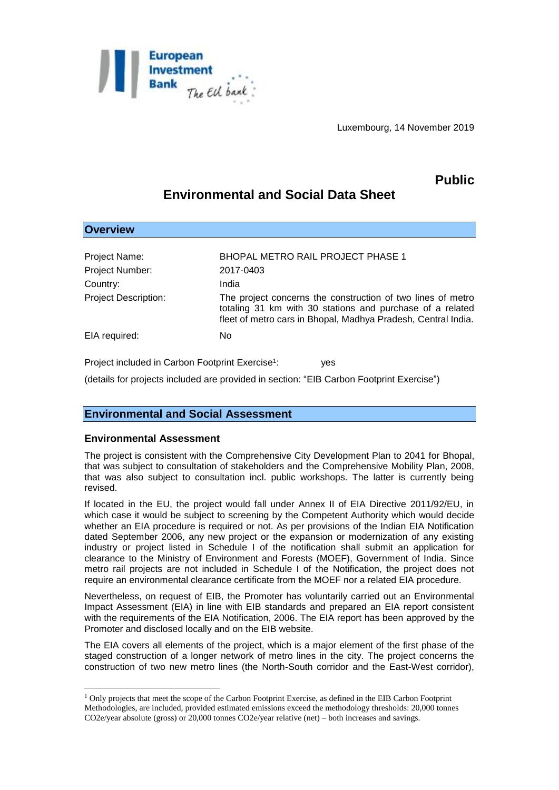

# **Public**

# **Environmental and Social Data Sheet**

| <b>Overview</b>                                                     |                                                                                                                                                                                           |
|---------------------------------------------------------------------|-------------------------------------------------------------------------------------------------------------------------------------------------------------------------------------------|
|                                                                     |                                                                                                                                                                                           |
| Project Name:                                                       | <b>BHOPAL METRO RAIL PROJECT PHASE 1</b>                                                                                                                                                  |
| Project Number:                                                     | 2017-0403                                                                                                                                                                                 |
| Country:                                                            | India                                                                                                                                                                                     |
| <b>Project Description:</b>                                         | The project concerns the construction of two lines of metro<br>totaling 31 km with 30 stations and purchase of a related<br>fleet of metro cars in Bhopal, Madhya Pradesh, Central India. |
| EIA required:                                                       | No.                                                                                                                                                                                       |
| Project included in Carbon Footprint Exercise <sup>1</sup> :<br>ves |                                                                                                                                                                                           |

(details for projects included are provided in section: "EIB Carbon Footprint Exercise")

# **Environmental and Social Assessment**

# **Environmental Assessment**

1

The project is consistent with the Comprehensive City Development Plan to 2041 for Bhopal, that was subject to consultation of stakeholders and the Comprehensive Mobility Plan, 2008, that was also subject to consultation incl. public workshops. The latter is currently being revised.

If located in the EU, the project would fall under Annex II of EIA Directive 2011/92/EU, in which case it would be subject to screening by the Competent Authority which would decide whether an EIA procedure is required or not. As per provisions of the Indian EIA Notification dated September 2006, any new project or the expansion or modernization of any existing industry or project listed in Schedule I of the notification shall submit an application for clearance to the Ministry of Environment and Forests (MOEF), Government of India. Since metro rail projects are not included in Schedule I of the Notification, the project does not require an environmental clearance certificate from the MOEF nor a related EIA procedure.

Nevertheless, on request of EIB, the Promoter has voluntarily carried out an Environmental Impact Assessment (EIA) in line with EIB standards and prepared an EIA report consistent with the requirements of the EIA Notification, 2006. The EIA report has been approved by the Promoter and disclosed locally and on the EIB website.

The EIA covers all elements of the project, which is a major element of the first phase of the staged construction of a longer network of metro lines in the city. The project concerns the construction of two new metro lines (the North-South corridor and the East-West corridor),

<sup>1</sup> Only projects that meet the scope of the Carbon Footprint Exercise, as defined in the EIB Carbon Footprint Methodologies, are included, provided estimated emissions exceed the methodology thresholds: 20,000 tonnes CO2e/year absolute (gross) or 20,000 tonnes CO2e/year relative (net) – both increases and savings.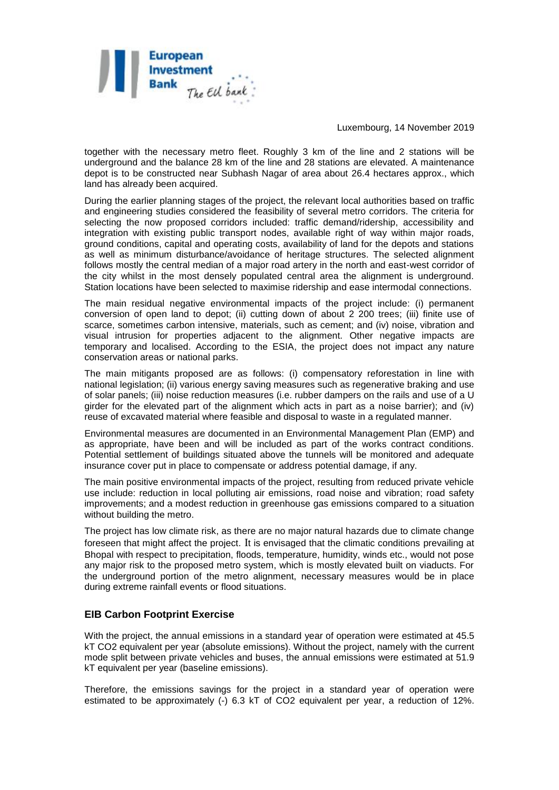

together with the necessary metro fleet. Roughly 3 km of the line and 2 stations will be underground and the balance 28 km of the line and 28 stations are elevated. A maintenance depot is to be constructed near Subhash Nagar of area about 26.4 hectares approx., which land has already been acquired.

During the earlier planning stages of the project, the relevant local authorities based on traffic and engineering studies considered the feasibility of several metro corridors. The criteria for selecting the now proposed corridors included: traffic demand/ridership, accessibility and integration with existing public transport nodes, available right of way within major roads, ground conditions, capital and operating costs, availability of land for the depots and stations as well as minimum disturbance/avoidance of heritage structures. The selected alignment follows mostly the central median of a major road artery in the north and east-west corridor of the city whilst in the most densely populated central area the alignment is underground. Station locations have been selected to maximise ridership and ease intermodal connections.

The main residual negative environmental impacts of the project include: (i) permanent conversion of open land to depot; (ii) cutting down of about 2 200 trees; (iii) finite use of scarce, sometimes carbon intensive, materials, such as cement; and (iv) noise, vibration and visual intrusion for properties adjacent to the alignment. Other negative impacts are temporary and localised. According to the ESIA, the project does not impact any nature conservation areas or national parks.

The main mitigants proposed are as follows: (i) compensatory reforestation in line with national legislation; (ii) various energy saving measures such as regenerative braking and use of solar panels; (iii) noise reduction measures (i.e. rubber dampers on the rails and use of a U girder for the elevated part of the alignment which acts in part as a noise barrier); and (iv) reuse of excavated material where feasible and disposal to waste in a regulated manner.

Environmental measures are documented in an Environmental Management Plan (EMP) and as appropriate, have been and will be included as part of the works contract conditions. Potential settlement of buildings situated above the tunnels will be monitored and adequate insurance cover put in place to compensate or address potential damage, if any.

The main positive environmental impacts of the project, resulting from reduced private vehicle use include: reduction in local polluting air emissions, road noise and vibration; road safety improvements; and a modest reduction in greenhouse gas emissions compared to a situation without building the metro.

The project has low climate risk, as there are no major natural hazards due to climate change foreseen that might affect the project. It is envisaged that the climatic conditions prevailing at Bhopal with respect to precipitation, floods, temperature, humidity, winds etc., would not pose any major risk to the proposed metro system, which is mostly elevated built on viaducts. For the underground portion of the metro alignment, necessary measures would be in place during extreme rainfall events or flood situations.

# **EIB Carbon Footprint Exercise**

With the project, the annual emissions in a standard year of operation were estimated at 45.5 kT CO2 equivalent per year (absolute emissions). Without the project, namely with the current mode split between private vehicles and buses, the annual emissions were estimated at 51.9 kT equivalent per year (baseline emissions).

Therefore, the emissions savings for the project in a standard year of operation were estimated to be approximately (-) 6.3 kT of CO2 equivalent per year, a reduction of 12%.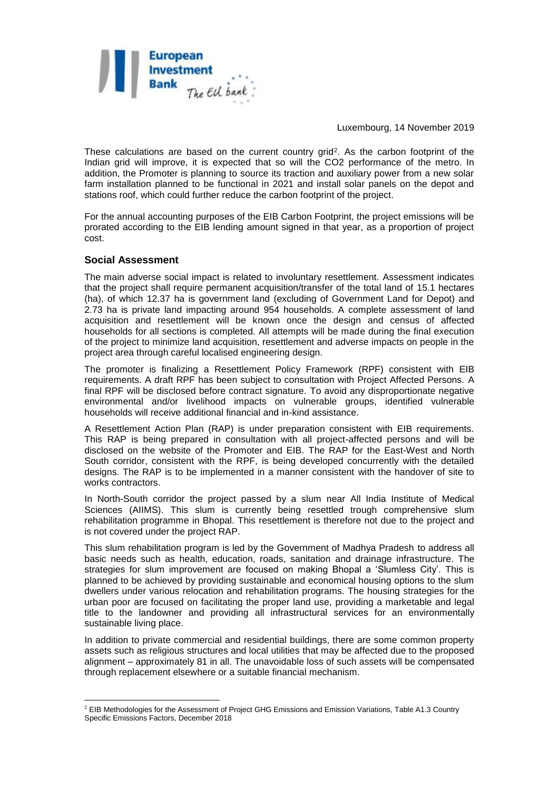

These calculations are based on the current country grid<sup>2</sup>. As the carbon footprint of the Indian grid will improve, it is expected that so will the CO2 performance of the metro. In addition, the Promoter is planning to source its traction and auxiliary power from a new solar farm installation planned to be functional in 2021 and install solar panels on the depot and stations roof, which could further reduce the carbon footprint of the project.

For the annual accounting purposes of the EIB Carbon Footprint, the project emissions will be prorated according to the EIB lending amount signed in that year, as a proportion of project cost.

#### **Social Assessment**

1

The main adverse social impact is related to involuntary resettlement. Assessment indicates that the project shall require permanent acquisition/transfer of the total land of 15.1 hectares (ha), of which 12.37 ha is government land (excluding of Government Land for Depot) and 2.73 ha is private land impacting around 954 households. A complete assessment of land acquisition and resettlement will be known once the design and census of affected households for all sections is completed. All attempts will be made during the final execution of the project to minimize land acquisition, resettlement and adverse impacts on people in the project area through careful localised engineering design.

The promoter is finalizing a Resettlement Policy Framework (RPF) consistent with EIB requirements. A draft RPF has been subject to consultation with Project Affected Persons. A final RPF will be disclosed before contract signature. To avoid any disproportionate negative environmental and/or livelihood impacts on vulnerable groups, identified vulnerable households will receive additional financial and in-kind assistance.

A Resettlement Action Plan (RAP) is under preparation consistent with EIB requirements. This RAP is being prepared in consultation with all project-affected persons and will be disclosed on the website of the Promoter and EIB. The RAP for the East-West and North South corridor, consistent with the RPF, is being developed concurrently with the detailed designs. The RAP is to be implemented in a manner consistent with the handover of site to works contractors.

In North-South corridor the project passed by a slum near All India Institute of Medical Sciences (AIIMS). This slum is currently being resettled trough comprehensive slum rehabilitation programme in Bhopal. This resettlement is therefore not due to the project and is not covered under the project RAP.

This slum rehabilitation program is led by the Government of Madhya Pradesh to address all basic needs such as health, education, roads, sanitation and drainage infrastructure. The strategies for slum improvement are focused on making Bhopal a 'Slumless City'. This is planned to be achieved by providing sustainable and economical housing options to the slum dwellers under various relocation and rehabilitation programs. The housing strategies for the urban poor are focused on facilitating the proper land use, providing a marketable and legal title to the landowner and providing all infrastructural services for an environmentally sustainable living place.

In addition to private commercial and residential buildings, there are some common property assets such as religious structures and local utilities that may be affected due to the proposed alignment – approximately 81 in all. The unavoidable loss of such assets will be compensated through replacement elsewhere or a suitable financial mechanism.

<sup>&</sup>lt;sup>2</sup> EIB Methodologies for the Assessment of Project GHG Emissions and Emission Variations. Table A1.3 Country Specific Emissions Factors, December 2018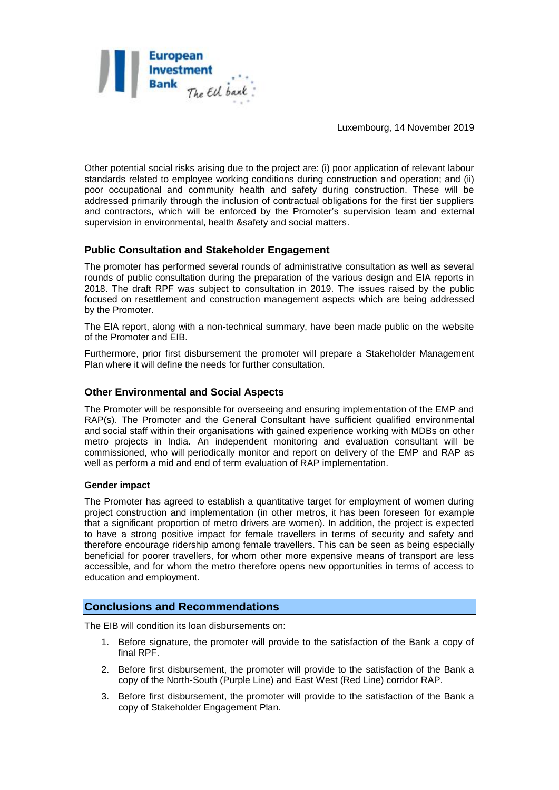

Other potential social risks arising due to the project are: (i) poor application of relevant labour standards related to employee working conditions during construction and operation; and (ii) poor occupational and community health and safety during construction. These will be addressed primarily through the inclusion of contractual obligations for the first tier suppliers and contractors, which will be enforced by the Promoter's supervision team and external supervision in environmental, health &safety and social matters.

# **Public Consultation and Stakeholder Engagement**

The promoter has performed several rounds of administrative consultation as well as several rounds of public consultation during the preparation of the various design and EIA reports in 2018. The draft RPF was subject to consultation in 2019. The issues raised by the public focused on resettlement and construction management aspects which are being addressed by the Promoter.

The EIA report, along with a non-technical summary, have been made public on the website of the Promoter and EIB.

Furthermore, prior first disbursement the promoter will prepare a Stakeholder Management Plan where it will define the needs for further consultation.

#### **Other Environmental and Social Aspects**

The Promoter will be responsible for overseeing and ensuring implementation of the EMP and RAP(s). The Promoter and the General Consultant have sufficient qualified environmental and social staff within their organisations with gained experience working with MDBs on other metro projects in India. An independent monitoring and evaluation consultant will be commissioned, who will periodically monitor and report on delivery of the EMP and RAP as well as perform a mid and end of term evaluation of RAP implementation.

#### **Gender impact**

The Promoter has agreed to establish a quantitative target for employment of women during project construction and implementation (in other metros, it has been foreseen for example that a significant proportion of metro drivers are women). In addition, the project is expected to have a strong positive impact for female travellers in terms of security and safety and therefore encourage ridership among female travellers. This can be seen as being especially beneficial for poorer travellers, for whom other more expensive means of transport are less accessible, and for whom the metro therefore opens new opportunities in terms of access to education and employment.

# **Conclusions and Recommendations**

The EIB will condition its loan disbursements on:

- 1. Before signature, the promoter will provide to the satisfaction of the Bank a copy of final RPF.
- 2. Before first disbursement, the promoter will provide to the satisfaction of the Bank a copy of the North-South (Purple Line) and East West (Red Line) corridor RAP.
- 3. Before first disbursement, the promoter will provide to the satisfaction of the Bank a copy of Stakeholder Engagement Plan.